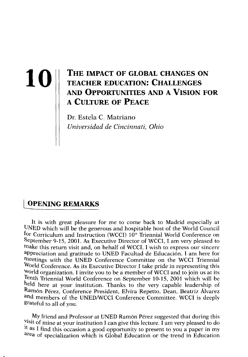# **10 THE IMPACT OF GLOBAL CHANGES ON TEACHER EDUCATION: CHALLENGES** AND A VISION FOR PROPERTINITIES AND A VISION FOR **TEACHER EDUCATION: CHALLENGE S AND OPPORTUNITIE S AND A VlSION POR A CULTURE OF PEACE**

Dr. Estela C. Matriano *Universidad de Cincinnati, Ohio* 

# **[OPENING REMARKS**

It is with great pleasure for me to come back to Madrid especially at UNED which will be the generous and hospitable host of the World Council for Curriculum and Instruction (WCCI) 10<sup>th</sup> Triennial World Conference on September 9-15, 2001. As Executive Director of WCCI, I am very pleased to make this return visit and, on behalf of WCCI, I wish to express our sincere ^Ppreciation and gratitude to UNED Facultad de Educación. I am here for meetings with the UNED Conference Committee on the WCCI Triennial World Conference. As its Executive Director I take pride in representing this World organization. I invite you to be a member of WCCI and to join us at its fenth Triennial World Conference on September 10-15, 2001 which will be held here at your institution. Thanks to the very capable leadership of Ramón Pérez, Conference President, Elvira Repetto, Dean, Beatriz Álvarez and members of the UNED/WCCI Conference Committee. WCCI is deeply grateful to all of you.

My friend and Professor at UNED Ramón Pérez suggested that during this visit of mine at your institution I can give this lecture. I am very pleased to do it as I find this occasion a good opportunity to present to you a paper in my area of specialization which is Global Education or the trend in Education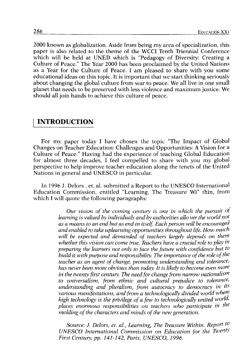2000 known as globalization. Aside from being my área of specialization, this paper is also related to the theme of the WCCI Tenth Triennial Conference which will be held at UNED which is "Pedagogy of Diversity: Creating a Culture of Peace." The Year 2000 has been proclaimed by the United Nations as a Year for the Culture of Peace. I am pleased to share with you some educational ideas on this topic. It is important that we start thinking seriously about changing the global culture from war to peace. We all live in one small planet that needs to be preserved with less violence and máximum justice. We should all join hands to achieve this culture of peace.

#### **INTRODUCTION**

For my paper today I have chosen the topic "The Impact of Global Changes on Teacher Education: Challenges and Opportunities: A Vision for a Culture of Peace." Having had the experience of teaching Global Education for almost three decades, I feel compelled to share with you my global perspective to help improve teacher education along the tenets of the United Nations in general and UNESCO in particular

In 1996 J. Delors , et. al. submitted a Report to the UNESCO International Education Commission, entitled "Learning, The Treasure Wi" thin, from which I will quote the following paragraphs:

> *Our visión of the coming century is one in which the pursuit of*  learning is valued by individuals and by authorities allo ver the world not *as a means to an end but as end initself. Each person will be encouraged and enabled to take upleaming opportunities throughout Ufe. How much*  will be expected and demanded of teachers largely depends on them *whether this visión can come true. Teachers have a crucial role to play in preparing the leamers not only to face the future with confidence but to build it with purpose and responsibility. The importance of the role of the teacher as an agent of change, promoting understanding and tolerance, has never been more obvious than today. It is likely to become even more in the twenty first century. The need for change from narrow nationalist^ to universalism, from ethnic and cultural prejudice to tolerance, understanding and pluralism, from autocracy to democracy in its various manifestations, and from a technologically divided world where*  high technology is the privilege of a few to technologically united world, *places enormous responsibilities on teachers who particípate in the*  molding of the characters and minds of the new generation.

> *Source: J. Delors, et. ai, Learning, The Treasure Within. Report to UNESCO International Commission on Education for the Twenty First Century, pp. 141-142, Paris, UNESCO, 1996.*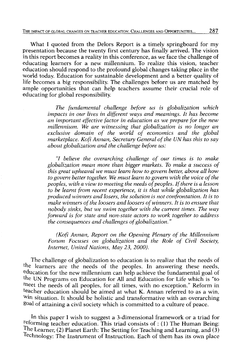What I quoted from the Delors Report is a timely springboard for my presentation because the twenty first century has finally arrived. The visión in this report becomes a reality in this conference, as we face the challenge of educating leamers for a new millennium. To realize this visión, teacher education should respond to the profound global changes taking place in the world today. Education for sustainable development and a better quality of life becomes a big responsibility. The challenges before us are matched by ampie opportunities that can help teachers assume their crucial role of educating for global responsibility.

> *The fundamental challenge before us is globalization which impacts in our lives in different ways and meanings. It has become an important effective factor in education as we prepare for the new millennium. We are witnessing that globalization is no longer an exclusive domain of the world of economics and the global*  marketplace. Kofi Annan, Secretary General of the UN has this to say *about globalization and the challenge before us:*

> *"I believe the overarching challenge of our times is to malee globalization mean more than bigger markets. To make a success of this great upheaval we must leam how to govem better, above all how*  to govern better together. We must learn to govern with the voice of the *peoples, with a view to meeting the needs of peoples. If there is a lesson to be leamt from recent experience, it is that while globalization has produced winners and losers, the solution is not confrontation. It is to*  make winners of the loosers and loosers of winners. It is to ensure that *nobody sinks, but we swim together with the current times. The way forward is for state and non-state actors to work together to address the consequences and challenges of globalization."*

> *(Kofi Annan, Report on the Opening Plenary of the Millennium Forum Focuses on globalization and the Role of Civil Society, Internet, United Nations, May 23, 2000).*

The challenge of globalization to education is to realize that the needs of the learners are the needs of the peoples. In answering these needs, education for the new millennium can help achieve the fundamental goal of the UN Programs on Education for All and Education for Life which is "to meet the needs of all peoples, for all times, with no exception." Reform in teacher education should be aimed at what K. Annan referred to as a win,  $\overline{w}$  in situation. It should be holistic and transformative with an overarching goal of attaining a civil society which is committed to a culture of peace.

In this paper I wish to suggest a 3-dimensional framework or a triad for reforming teacher education. This triad consists of : (1) The Human Being: The Learner, (2) Planet Earth: The Setting for Teaching and Learning, and (3) Technology: The Instrument of Instruction. Each of them has its own place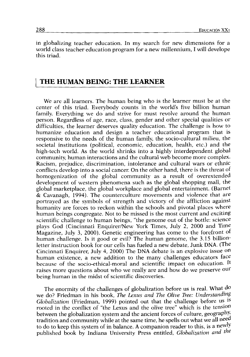in globalizing teacher education. In my search for new dimensions for a world class teacher education program for a new millennium, I will develope this triad.

#### THE HUMAN BEING: THE LEARNER

We are all learners. The human being who is the learner must be at the center of this triad. Everybody counts in the world's five billion human family. Everything we do and strive for must revolve around the human person. Regardless of age, race, class, gender and other special quahties or difñculties, the learner deserves quality education. The challenge is how to humanize education and design a teacher educational program that is responsive to the needs of the human family, the socio-cultural milieu, the societal institutions (political, economic, education, health, etc.) and the high-tech world. As the world shrinks into a highly interdependent global community, human interactions and the cultural web become more complex. Racism, prejudice, discrimination, intolerance and cultural wars or ethnic conflicts develop into a social caneen On the other hand, there is the threat of homogenization of the global community as a result of overextended development of westem phenomena such as the global shopping malí, the global marketplace, the global workplace and global entertainment. (Barnet & Cavanagh, 1994). The counterculture movements and violence that are portrayed as the symbols of strength and victory of the affliction against humanity are forces to reckon within the schools and pivotal places where human beings congregate. Not to be missed is the most current and exciting scientific challenge to human beings, "the genome out of the bottle: science plays God (Cincinnati Enquirer/New York Times, July 2, 2000 and Time Magazine, July 3, 2000). Genetic engineering has come to the forefront of human challenge. Is it good or evil? The human genome, the 3.15 billionletter instruction book for our cells has fueled a new debate, Junk DNA. (The Cincinnati Enquirer, July 4, 2000) The DNA debate is an explosive issue on human existence, a new addition to the many challenges educators face because of the socio-ethical-moral and scientific impact on education. It raises more questions about who we really are and how do we preserve our being human in the midst of scientific discoveries.

The enormity of the challenges of globalization before us is real. What do we do? Friedman in his book, *The Lexus and The Olive Tree: Understanding Globalization* (Friedman, 1999) pointed out that the challenge before us is rooted in the conflict of "the Lexus and the olive tree" which is the tensión between the globalization system and the ancient forces of culture, geography, tradition and community while at the same time, he spells out what we all need to do to keep this system of in balance. A companion reader to this, is a newly published book by Indiana University Press entitled, *Globalization and the*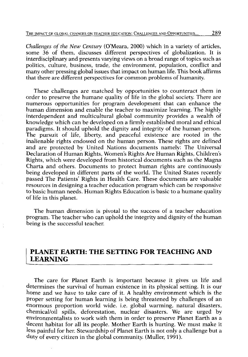*Challenges of the New Century* (O'Meara, 2000) which in a variety of articles, some 36 of them, discusses different perspectives of globalization. It is interdisciplinary and presents varying views on a broad range of topics such as politics, culture, business, trade, the environment, population, conflict and many other pressing global issues that impact on human life. This book affírms that there are different perspectives for common problems of humanity.

These challenges are matched by opportunities to counteract them in order to preserve the humane quality of life in the global society. There are numerous opportunities for program development that can enhance the human dimensión and enable the teacher to maximize leaming. The highly interdependent and multicultural global community provides a wealth of knowledge which can be developed on a fírmly established moral and ethical paradigms. It should uphold the dignity and integrity of the human person. The pursuit of life, liberty, and peaceful existence are rooted in the inalienable rights endowed on the human person. These rights are defíned and are protected by United Nations documents namely: The Universal Declaration of Human Rights, Women's Rights Are Human Rights, Children's Rights, which were developed from historical documents such as the Magna Charta and others. Documents to protect human rights are continuously being developed in different parts of the world. The United States recently passed The Patients' Rights in Health Care. These documents are valuable resources in designing a teacher education program which can be responsive to basic human needs. Human Rights Education is basic to a humane quality of life in this planet.

The human dimensión is pivotal to the success of a teacher education program. The teacher who can uphold the integrity and dignity of the human being is the successful teacher.

#### PLANET EARTH: THE SETTING FOR TEACHING AND LEARNING

The care for Planet Earth is important because it gives us life and determines the survival of human existence in its physical setting. It is our home and we have to take care of it. A healthy environment which is the proper setting for human learning is being threatened by challenges of an enormous proportion world wide. i.e. global warming, natural disasters, chemical/oil spills, deforestation, nuclear disasters. We are urged by environmentalists to work with them in order to preserve Planet Earth as a decent habitat for all its people. Mother Earth is hurting. We must make it less painful for hen Stewardship of Planet Earth is not only a challenge but a duty of every citizen in the global community. (Muller, 1991).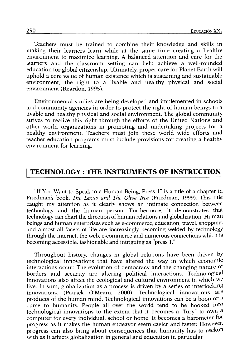Teachers must be trained to combine their knowledge and skills in making their leamers learn while at the same time creating a healthy environment to maximize leaming. A balanced attention and care for the learners and the classroom setting can help achieve a well-rounded education for global citizenship. Ultimately, proper care for Planet Earth will uphold a core valué of human existence which is sustaining and sustainable environment, the right to a livable and healthy physical and social environment (Reardon, 1995).

Environmental studies are being developed and implemented in schools and community agencies in order to protect the right of human beings to a livable and healthy physical and social environment. The global community strives to realize this right through the efforts of the United Nations and other world organizations in promoting and undertaking projects for a healthy environment. Teachers must join these world wide efforts and teacher education programs must include provisions for creating a healthy environment for learning.

### TECHNOLOGY : THE INSTRUMENTS OF INSTRUCTION

"If You Want to Speak to a Human Being, Press 1" is a title of a chapter in Friedmans book, *The Lexus and The Olive Tree* (Friedman, 1999). This title caught my attention as it clearly shows an intímate connection between technology and the human person. Furthermore, it demonstrates that technology can chart the direction of human relations and globalization. Human beings and human enterprises such as e-commerce, education, travel, shopping, and almost all facets of life are increasingly becoming welded by technology through the internet, the web, e-commerce and numerous connections which is becoming accessible, fashionable and intriguing as "press 1."

Throughout history, changes in global relations have been driven by technological innovations that have altered the way in which economic interactions occur. The evolution of democracy and the changing nature of borders and security are altering political interactions. Technological innovations also affect the ecological and cultural environment in which we live. In sum, globalization as a process is driven by a series of interlocking innovations. (Patrick O'Meara, 2000). Technological innovations are products of the human mind. Technological innovations can be a boon or a curse to humanity. People all over the world tend to be hooked into technological innovations to the extent that it becomes a "fury" to own a computer for every individual, school or home. It becomes a barometer for progress as it makes the human endeavor seem easier and faster. However, progress can also bring about consequences that humanity has to reckon with as it affects globalization in general and education in particular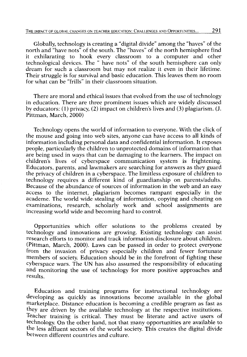Globally, technology is creating a "digital divide" among the "haves" of the north and "have nots" of the south. The "haves" of the north hemisphere fínd it exhilarating to hook every classroom to a computer and other technological devices. The " have nots" of the south hemisphere can only dream for such a classroom but may not realize it even in their lifetime. Their struggle is for survival and basic education. This leaves them no room for what can be "frills" in their classroom situation.

There are moral and ethical issues that evolved from the use of technology in education. There are three prominent issues which are widely discussed by educators: (1) privacy, (2) impact on children's lives and (3) plagiarism. (J. Pittman, March, 2000)

Technology opens the world of information to everyone. With the click of the mouse and going into web sites, anyone can have access to all kinds of information including personal data and confidential information. It exposes people, particularly the children to unprotected domains of information that are being used in ways that can be damaging to the leamers. The impact on children's lives of cyberspace communication system is frightening. Educators, parents, and lawmakers are searching for answers as they guard the privacy of children in a cyberspace. The limitless exposure of children to technology requires a different kind of guardianship on parents/adults. Because of the abundance of sources of information in the web and an easy access to the internet, plagiarism becomes rampant especially in the academe. The world wide stealing of information, copying and cheating on examinations, research, scholarly work and school assignments are increasing world wide and becoming hard to control.

Opportunities which offer solutions to the problems created by technology and innovations are growing. Existing technology can assist research efforts to monitor and track information disclosure about children. (Pittman, March, 2000). Laws can be passed in order to protect everyone from the invasion of privacy especially children and fewer fortunate members of society. Education should be in the forefront of fighting these cyberspace wars. The UN has also assumed the responsibility of educating and monitoring the use of technology for more positive approaches and results.

Education and training programs for instructional technology are developing as quickly as innovations become available in the global marketplace. Distance education is becoming a credible program as fast as they are driven by the available technology at the respective institutions. Teacher training is critical. They must be literate and active users of technology. On the other hand, not that many opportunities are available to the less affluent sectors of the world society. This creates the digital divide between different countries and culture.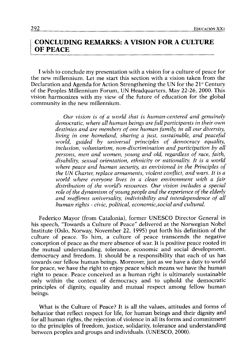#### CONCLUDING REMARKS: A VISION FOR A CULTURE OF PEACE

I wish to conclude my presentation with a vision for a culture of peace for the new millennium. Let me start this section with a vision taken from the Declaration and Agenda for Action Strengthening the UN for the 21<sup>st</sup> Century of the Peoples Millennium Forum, UN Headquarters, May 22-26, 2000. This visión harmonizes with my view of the future of education for the global community in the new millennium.

> *Our visión is of a world that is human-centered and genuinely democratic, where all human beings are fullparticipants in their own*  destinies and are members of one human family, in all our diversity, *living in one homeland, sharing a just, sustainable, and peaceful world, guided by universal principies of democracy equality, inclusión, voluntarism, non-discrimination and participation by all persons, men and women, young and oíd, regardless of race, faith, disability, sexual orientation, ethnicity or nationality. It is a world where peace and human security, as envisioned in the Principies of the UN Charter, replace armaments, violent conflict, and wars. It is a*  world where everyone lives in a clean environment with a fair *distribution of the world's resources. Our visión includes a special*  role of the dynamism of young people and the experience of the elderly *and reaffirms universality, indivisibility and interdependence of all human rights - civic, political, economic,social and cultural.*

Federico Mayor (from Catalonia), former UNESCO Director General in his speech, "Towards a Culture of Peace" delivered at the Norwegian Nobel Institute (Oslo, Norway, November 22, 1995) put forth his defínition of the culture of peace. To him, a culture of peace transcends the negative conception of peace as the mere absence of war. It is positive peace rooted in the mutual understanding, tolerance, economic and social development, democracy and freedom. It should be a responsibility that each of us has towards our fellow human beings. Moreover, just as we have a duty to world for peace, we have the right to enjoy peace which means we have the human right to peace. Peace conceived as a human right is ultimately sustainable only within the context of democracy and to uphold the democratic principies of dignity, equality and mutual respect among fellow human beings.

What is the Culture of Peace? It is all the values, attitudes and forms of behavior that reflect respect for life, for human beings and their dignity and for all human rights, the rejection of violence in all its forms and commitment to the principies of freedom, justice, solidarity, tolerance and understanding between peoples and groups and individuals. (UNESCO, 2000).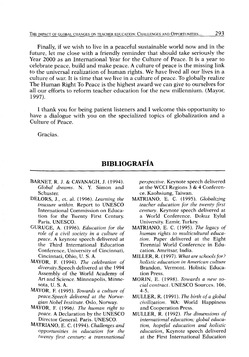Finally, if we wish to live in a peaceful sustainable world now and in the future, let me cióse with a friendly reminder that should take seriously the Year 2000 as an International Year for the Culture of Peace. It is a year to celébrate peace, build and make peace. A culture of peace is the missing link to the universal realization of human rights. We have lived all our lives in a culture of wan It is time that we live in a culture of peace. To globally realize The Human Right To Peace is the highest award we can give to ourselves for all our efforts to reform teacher education for the new millennium. (Mayor, 1997).

I thank you for being patient listeners and I welcome this opportunity to have a dialogue with you on the specialized topics of globalization and a Culture of Peace.

Gracias.

## **BIBLIOGRAFÍA**

- BARNET, R. J. & CAVANAGH, J. (1994). Global dreams. N. Y. Simon and Schuster
- DELORS, J., et. al. (1996). *Leaming the treasure within.* Report to UNESCO International Commission on Education for the Twenty First Century. Paris. UNESCO.
- GURUGE, A. (1996). *Education for the role of a civil society in a culture of peace.* A keynote speech delivered at the Third International Education Conference, University of Cincinnati, Cincinnati, Ohio, U. S. A.
- MAYOR, E (1994). *The celebratian of diversity.Speech* delivered at the 1994 Assembly of the World Academy of Art and Science. Minneapolis, Minnesota, U. S. A.
- MAYOR, E (1995). *Towards a culture of peace.Speech delivered at the Norwegian Nobel Institute.* Oslo, Norway.
- MAYOR, E (1996). *The human right to peace.* A Declaration by the UNESCO Director General. París. UNESCO.
- MATRIANO, E. C. (1994). *Challenges and opportunities in education for the twenty first century: a transnational*

*perspective.* Keynote speech delivered at the WCCI Regions 3 & 4 Conference. Kaohsiung, Taiwan.

- MATRIANO, E. C. (1995). *Globalizing teacher education for the twenty first century.* Keynote speech delivered at a World Conference. Dokuz Eylul University. Ezmir, Turkey.
- MATRIANO, E. C. (1995). *The legacy of human rights to multicultural education.* Paper delivered at the Eight Tirennial World Conference in Education. Amritsar, India.
- MILLER, R. (1997). *What are schools for? holistic education in American culture*  Brandon, Vermont. Holistic Education Press.
- MORIN, E. (1998). *Towards a new social contract.* UNESCO Sources. 106, 4-5.
- MULLER, R. (1991). *The birth ofa global civilization.* WA: World Happiness and Cooperation Press.
- MULLER, R. (1992). *The dimensions of intemational education: global education, hopeful education and holistic education^* Keynote speech delivered at the First International Education